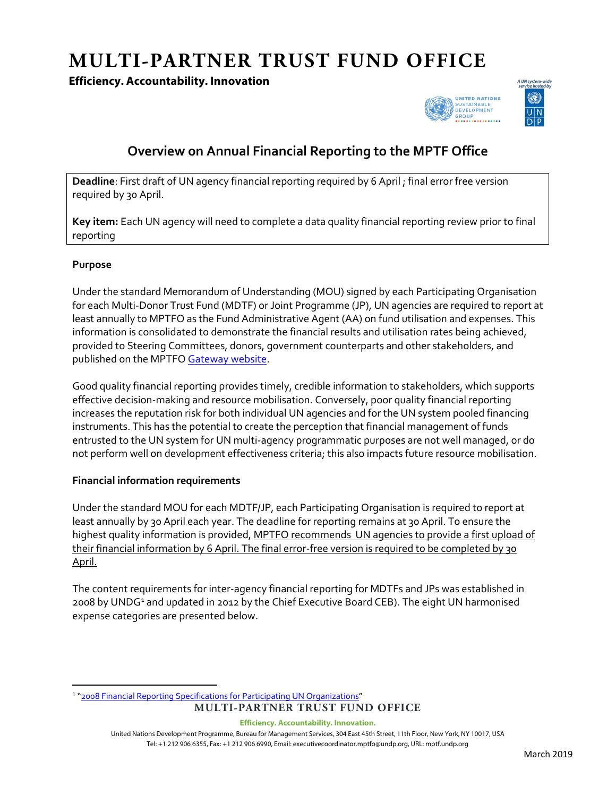# **MULTI-PARTNER TRUST FUND OFFICE**

## **Efficiency. Accountability. Innovation**





# **Overview on Annual Financial Reporting to the MPTF Office**

**Deadline**: First draft of UN agency financial reporting required by 6 April ; final error free version required by 30 April.

**Key item:** Each UN agency will need to complete a data quality financial reporting review prior to final reporting

#### **Purpose**

Under the standard Memorandum of Understanding (MOU) signed by each Participating Organisation for each Multi-Donor Trust Fund (MDTF) or Joint Programme (JP), UN agencies are required to report at least annually to MPTFO as the Fund Administrative Agent (AA) on fund utilisation and expenses. This information is consolidated to demonstrate the financial results and utilisation rates being achieved, provided to Steering Committees, donors, government counterparts and other stakeholders, and published on the MPTFO [Gateway website.](http://mptf.undp.org/)

Good quality financial reporting provides timely, credible information to stakeholders, which supports effective decision-making and resource mobilisation. Conversely, poor quality financial reporting increases the reputation risk for both individual UN agencies and for the UN system pooled financing instruments. This has the potential to create the perception that financial management of funds entrusted to the UN system for UN multi-agency programmatic purposes are not well managed, or do not perform well on development effectiveness criteria; this also impacts future resource mobilisation.

#### **Financial information requirements**

Under the standard MOU for each MDTF/JP, each Participating Organisation is required to report at least annually by 30 April each year. The deadline for reporting remains at 30 April. To ensure the highest quality information is provided, MPTFO recommends UN agencies to provide a first upload of their financial information by 6 April. The final error-free version is required to be completed by 30 April.

The content requirements for inter-agency financial reporting for MDTFs and JPs was established in 2008 by UNDG<sup>[1](#page-0-0)</sup> and updated in 2012 by the Chief Executive Board CEB). The eight UN harmonised expense categories are presented below.

<span id="page-0-0"></span>**MULTI-PARTNER TRUST FUND OFFICE** 1 ["2008 Financial Reporting Specifications for Participating UN Organizations"](http://mdtf.undp.org/document/download/4)

**Efficiency. Accountability. Innovation.**

United Nations Development Programme, Bureau for Management Services, 304 East 45th Street, 11th Floor, New York, NY 10017, USA Tel: +1 212 906 6355, Fax: +1 212 906 6990, Email: executivecoordinator.mptfo@undp.org, URL: mptf.undp.org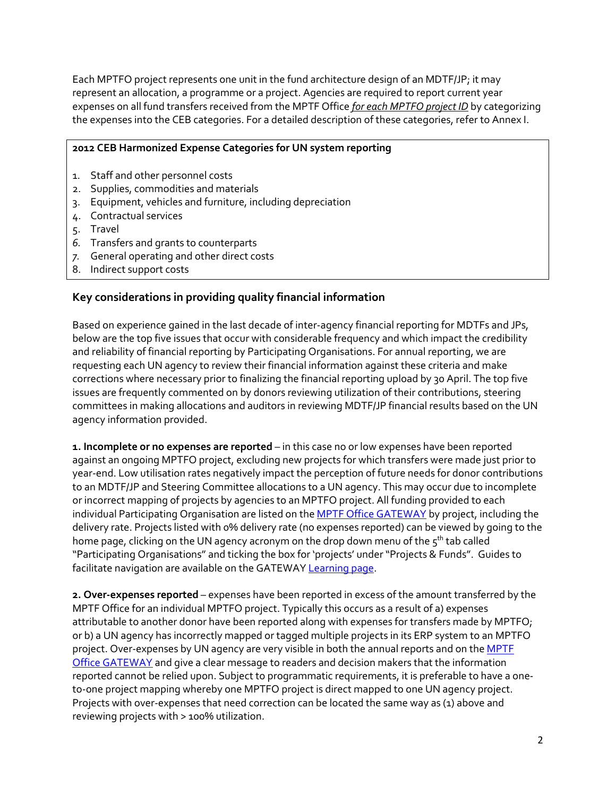Each MPTFO project represents one unit in the fund architecture design of an MDTF/JP; it may represent an allocation, a programme or a project. Agencies are required to report current year expenses on all fund transfers received from the MPTF Office *for each MPTFO project ID* by categorizing the expenses into the CEB categories. For a detailed description of these categories, refer to Annex I.

#### **2012 CEB Harmonized Expense Categories for UN system reporting**

- 1. Staff and other personnel costs
- 2. Supplies, commodities and materials
- 3. Equipment, vehicles and furniture, including depreciation
- 4. Contractual services
- 5. Travel
- *6.* Transfers and grants to counterparts
- *7.* General operating and other direct costs
- 8. Indirect support costs

## **Key considerations in providing quality financial information**

Based on experience gained in the last decade of inter-agency financial reporting for MDTFs and JPs, below are the top five issues that occur with considerable frequency and which impact the credibility and reliability of financial reporting by Participating Organisations. For annual reporting, we are requesting each UN agency to review their financial information against these criteria and make corrections where necessary prior to finalizing the financial reporting upload by 30 April. The top five issues are frequently commented on by donors reviewing utilization of their contributions, steering committees in making allocations and auditors in reviewing MDTF/JP financial results based on the UN agency information provided.

**1. Incomplete or no expenses are reported** – in this case no or low expenses have been reported against an ongoing MPTFO project, excluding new projects for which transfers were made just prior to year-end. Low utilisation rates negatively impact the perception of future needs for donor contributions to an MDTF/JP and Steering Committee allocations to a UN agency. This may occur due to incomplete or incorrect mapping of projects by agencies to an MPTFO project. All funding provided to each individual Participating Organisation are listed on the [MPTF Office GATEWAY](http://mptf.undp.org/) by project, including the delivery rate. Projects listed with 0% delivery rate (no expenses reported) can be viewed by going to the home page, clicking on the UN agency acronym on the drop down menu of the  $5<sup>th</sup>$  tab called "Participating Organisations" and ticking the box for 'projects' under "Projects & Funds". Guides to facilitate navigation are available on the GATEWA[Y Learning page.](http://mptf.undp.org/general/learning)

**2. Over-expenses reported** – expenses have been reported in excess of the amount transferred by the MPTF Office for an individual MPTFO project. Typically this occurs as a result of a) expenses attributable to another donor have been reported along with expenses for transfers made by MPTFO; or b) a UN agency has incorrectly mapped or tagged multiple projects in its ERP system to an MPTFO project. Over-expenses by UN agency are very visible in both the annual reports and on the MPTF [Office GATEWAY](http://mptf.undp.org/) and give a clear message to readers and decision makers that the information reported cannot be relied upon. Subject to programmatic requirements, it is preferable to have a oneto-one project mapping whereby one MPTFO project is direct mapped to one UN agency project. Projects with over-expenses that need correction can be located the same way as (1) above and reviewing projects with > 100% utilization.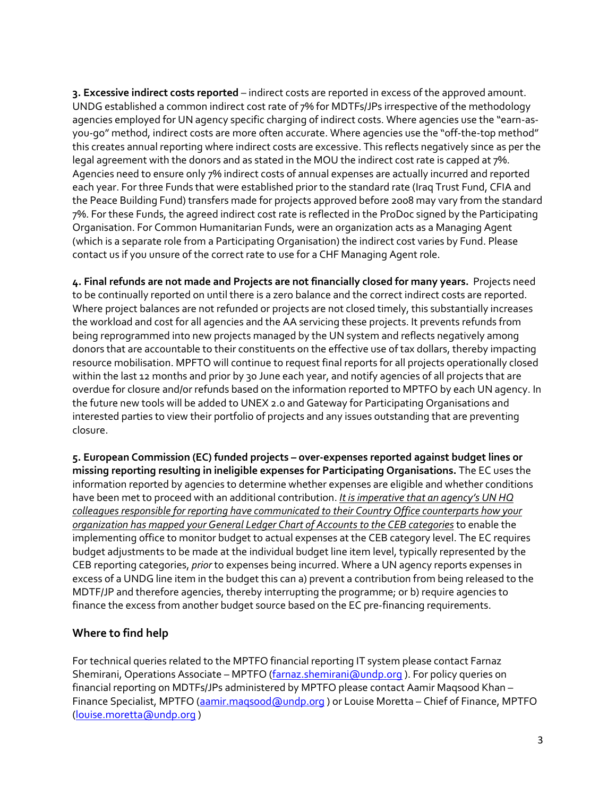**3. Excessive indirect costs reported** – indirect costs are reported in excess of the approved amount. UNDG established a common indirect cost rate of 7% for MDTFs/JPs irrespective of the methodology agencies employed for UN agency specific charging of indirect costs. Where agencies use the "earn-asyou-go" method, indirect costs are more often accurate. Where agencies use the "off-the-top method" this creates annual reporting where indirect costs are excessive. This reflects negatively since as per the legal agreement with the donors and as stated in the MOU the indirect cost rate is capped at 7%. Agencies need to ensure only 7% indirect costs of annual expenses are actually incurred and reported each year. For three Funds that were established prior to the standard rate (Iraq Trust Fund, CFIA and the Peace Building Fund) transfers made for projects approved before 2008 may vary from the standard 7%. For these Funds, the agreed indirect cost rate is reflected in the ProDoc signed by the Participating Organisation. For Common Humanitarian Funds, were an organization acts as a Managing Agent (which is a separate role from a Participating Organisation) the indirect cost varies by Fund. Please contact us if you unsure of the correct rate to use for a CHF Managing Agent role.

**4. Final refunds are not made and Projects are not financially closed for many years.** Projects need to be continually reported on until there is a zero balance and the correct indirect costs are reported. Where project balances are not refunded or projects are not closed timely, this substantially increases the workload and cost for all agencies and the AA servicing these projects. It prevents refunds from being reprogrammed into new projects managed by the UN system and reflects negatively among donors that are accountable to their constituents on the effective use of tax dollars, thereby impacting resource mobilisation. MPFTO will continue to request final reports for all projects operationally closed within the last 12 months and prior by 30 June each year, and notify agencies of all projects that are overdue for closure and/or refunds based on the information reported to MPTFO by each UN agency. In the future new tools will be added to UNEX 2.0 and Gateway for Participating Organisations and interested parties to view their portfolio of projects and any issues outstanding that are preventing closure.

**5. European Commission (EC) funded projects – over-expenses reported against budget lines or missing reporting resulting in ineligible expenses for Participating Organisations.** The EC uses the information reported by agencies to determine whether expenses are eligible and whether conditions have been met to proceed with an additional contribution. *It is imperative that an agency's UN HQ colleagues responsible for reporting have communicated to their Country Office counterparts how your organization has mapped your General Ledger Chart of Accounts to the CEB categories* to enable the implementing office to monitor budget to actual expenses at the CEB category level. The EC requires budget adjustments to be made at the individual budget line item level, typically represented by the CEB reporting categories, *prior* to expenses being incurred. Where a UN agency reports expenses in excess of a UNDG line item in the budget this can a) prevent a contribution from being released to the MDTF/JP and therefore agencies, thereby interrupting the programme; or b) require agencies to finance the excess from another budget source based on the EC pre-financing requirements.

# **Where to find help**

For technical queries related to the MPTFO financial reporting IT system please contact Farnaz Shemirani, Operations Associate – MPTFO [\(farnaz.shemirani@undp.org](mailto:farnaz.sherimani@undp.org)). For policy queries on financial reporting on MDTFs/JPs administered by MPTFO please contact Aamir Maqsood Khan – Finance Specialist, MPTFO (aamir.magsood@undp.org) or Louise Moretta - Chief of Finance, MPTFO [\(louise.moretta@undp.org](mailto:louise.moretta@undp.org) )